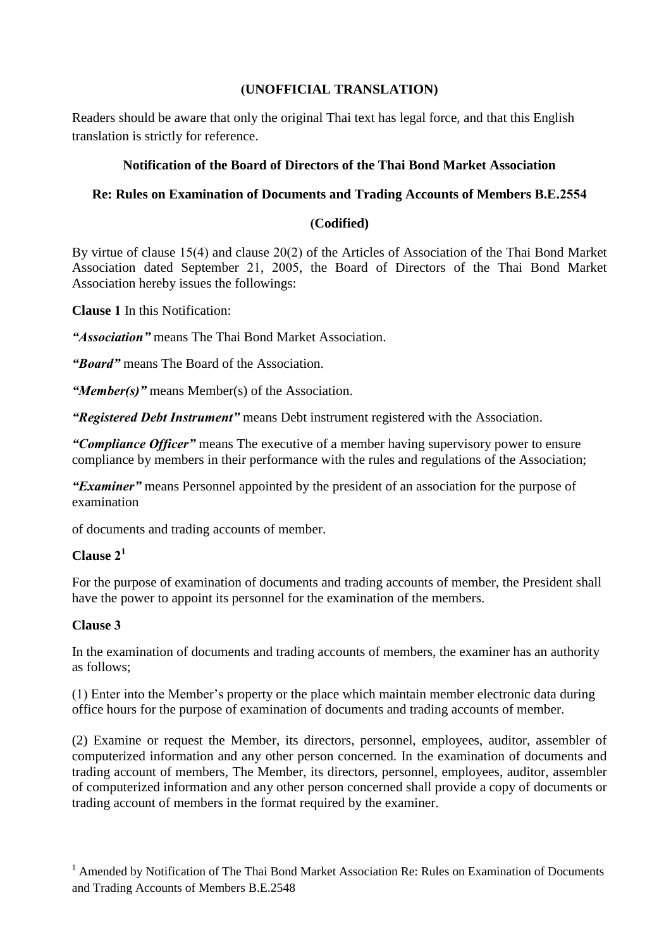## **(UNOFFICIAL TRANSLATION)**

Readers should be aware that only the original Thai text has legal force, and that this English translation is strictly for reference.

## **Notification of the Board of Directors of the Thai Bond Market Association**

# **Re: Rules on Examination of Documents and Trading Accounts of Members B.E.2554**

# **(Codified)**

By virtue of clause 15(4) and clause 20(2) of the Articles of Association of the Thai Bond Market Association dated September 21, 2005, the Board of Directors of the Thai Bond Market Association hereby issues the followings:

**Clause 1** In this Notification:

*"Association"* means The Thai Bond Market Association.

*"Board"* means The Board of the Association.

*"Member(s)"* means Member(s) of the Association.

*"Registered Debt Instrument"* means Debt instrument registered with the Association.

*"Compliance Officer"* means The executive of a member having supervisory power to ensure compliance by members in their performance with the rules and regulations of the Association;

*"Examiner"* means Personnel appointed by the president of an association for the purpose of examination

of documents and trading accounts of member.

# **Clause 2 1**

For the purpose of examination of documents and trading accounts of member, the President shall have the power to appoint its personnel for the examination of the members.

### **Clause 3**

In the examination of documents and trading accounts of members, the examiner has an authority as follows;

(1) Enter into the Member's property or the place which maintain member electronic data during office hours for the purpose of examination of documents and trading accounts of member.

(2) Examine or request the Member, its directors, personnel, employees, auditor, assembler of computerized information and any other person concerned. In the examination of documents and trading account of members, The Member, its directors, personnel, employees, auditor, assembler of computerized information and any other person concerned shall provide a copy of documents or trading account of members in the format required by the examiner.